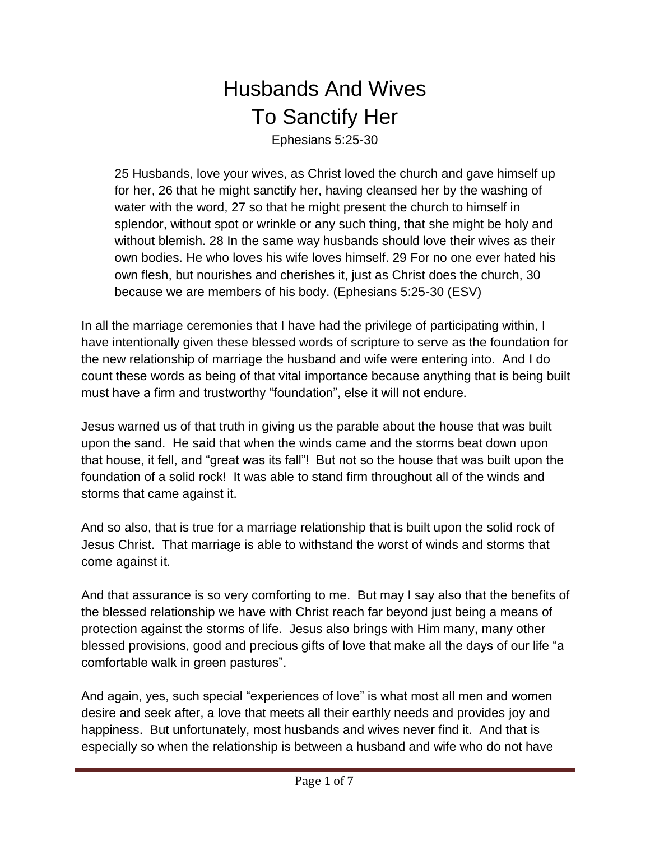## Husbands And Wives To Sanctify Her

Ephesians 5:25-30

25 Husbands, love your wives, as Christ loved the church and gave himself up for her, 26 that he might sanctify her, having cleansed her by the washing of water with the word, 27 so that he might present the church to himself in splendor, without spot or wrinkle or any such thing, that she might be holy and without blemish. 28 In the same way husbands should love their wives as their own bodies. He who loves his wife loves himself. 29 For no one ever hated his own flesh, but nourishes and cherishes it, just as Christ does the church, 30 because we are members of his body. (Ephesians 5:25-30 (ESV)

In all the marriage ceremonies that I have had the privilege of participating within, I have intentionally given these blessed words of scripture to serve as the foundation for the new relationship of marriage the husband and wife were entering into. And I do count these words as being of that vital importance because anything that is being built must have a firm and trustworthy "foundation", else it will not endure.

Jesus warned us of that truth in giving us the parable about the house that was built upon the sand. He said that when the winds came and the storms beat down upon that house, it fell, and "great was its fall"! But not so the house that was built upon the foundation of a solid rock! It was able to stand firm throughout all of the winds and storms that came against it.

And so also, that is true for a marriage relationship that is built upon the solid rock of Jesus Christ. That marriage is able to withstand the worst of winds and storms that come against it.

And that assurance is so very comforting to me. But may I say also that the benefits of the blessed relationship we have with Christ reach far beyond just being a means of protection against the storms of life. Jesus also brings with Him many, many other blessed provisions, good and precious gifts of love that make all the days of our life "a comfortable walk in green pastures".

And again, yes, such special "experiences of love" is what most all men and women desire and seek after, a love that meets all their earthly needs and provides joy and happiness. But unfortunately, most husbands and wives never find it. And that is especially so when the relationship is between a husband and wife who do not have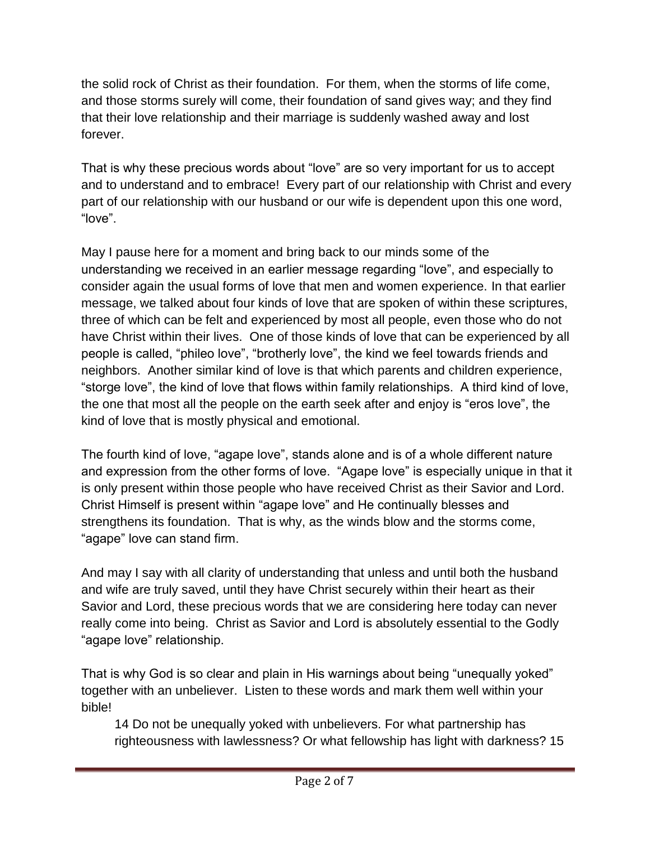the solid rock of Christ as their foundation. For them, when the storms of life come, and those storms surely will come, their foundation of sand gives way; and they find that their love relationship and their marriage is suddenly washed away and lost forever.

That is why these precious words about "love" are so very important for us to accept and to understand and to embrace! Every part of our relationship with Christ and every part of our relationship with our husband or our wife is dependent upon this one word, "love".

May I pause here for a moment and bring back to our minds some of the understanding we received in an earlier message regarding "love", and especially to consider again the usual forms of love that men and women experience. In that earlier message, we talked about four kinds of love that are spoken of within these scriptures, three of which can be felt and experienced by most all people, even those who do not have Christ within their lives. One of those kinds of love that can be experienced by all people is called, "phileo love", "brotherly love", the kind we feel towards friends and neighbors. Another similar kind of love is that which parents and children experience, "storge love", the kind of love that flows within family relationships. A third kind of love, the one that most all the people on the earth seek after and enjoy is "eros love", the kind of love that is mostly physical and emotional.

The fourth kind of love, "agape love", stands alone and is of a whole different nature and expression from the other forms of love. "Agape love" is especially unique in that it is only present within those people who have received Christ as their Savior and Lord. Christ Himself is present within "agape love" and He continually blesses and strengthens its foundation. That is why, as the winds blow and the storms come, "agape" love can stand firm.

And may I say with all clarity of understanding that unless and until both the husband and wife are truly saved, until they have Christ securely within their heart as their Savior and Lord, these precious words that we are considering here today can never really come into being. Christ as Savior and Lord is absolutely essential to the Godly "agape love" relationship.

That is why God is so clear and plain in His warnings about being "unequally yoked" together with an unbeliever. Listen to these words and mark them well within your bible!

14 Do not be unequally yoked with unbelievers. For what partnership has righteousness with lawlessness? Or what fellowship has light with darkness? 15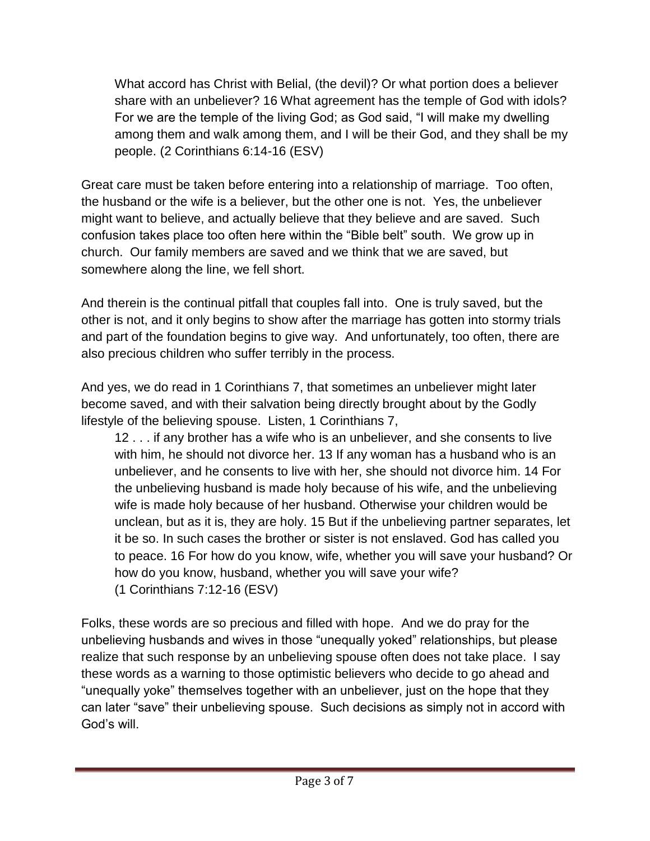What accord has Christ with Belial, (the devil)? Or what portion does a believer share with an unbeliever? 16 What agreement has the temple of God with idols? For we are the temple of the living God; as God said, "I will make my dwelling among them and walk among them, and I will be their God, and they shall be my people. (2 Corinthians 6:14-16 (ESV)

Great care must be taken before entering into a relationship of marriage. Too often, the husband or the wife is a believer, but the other one is not. Yes, the unbeliever might want to believe, and actually believe that they believe and are saved. Such confusion takes place too often here within the "Bible belt" south. We grow up in church. Our family members are saved and we think that we are saved, but somewhere along the line, we fell short.

And therein is the continual pitfall that couples fall into. One is truly saved, but the other is not, and it only begins to show after the marriage has gotten into stormy trials and part of the foundation begins to give way. And unfortunately, too often, there are also precious children who suffer terribly in the process.

And yes, we do read in 1 Corinthians 7, that sometimes an unbeliever might later become saved, and with their salvation being directly brought about by the Godly lifestyle of the believing spouse. Listen, 1 Corinthians 7,

12 . . . if any brother has a wife who is an unbeliever, and she consents to live with him, he should not divorce her. 13 If any woman has a husband who is an unbeliever, and he consents to live with her, she should not divorce him. 14 For the unbelieving husband is made holy because of his wife, and the unbelieving wife is made holy because of her husband. Otherwise your children would be unclean, but as it is, they are holy. 15 But if the unbelieving partner separates, let it be so. In such cases the brother or sister is not enslaved. God has called you to peace. 16 For how do you know, wife, whether you will save your husband? Or how do you know, husband, whether you will save your wife? (1 Corinthians 7:12-16 (ESV)

Folks, these words are so precious and filled with hope. And we do pray for the unbelieving husbands and wives in those "unequally yoked" relationships, but please realize that such response by an unbelieving spouse often does not take place. I say these words as a warning to those optimistic believers who decide to go ahead and "unequally yoke" themselves together with an unbeliever, just on the hope that they can later "save" their unbelieving spouse. Such decisions as simply not in accord with God's will.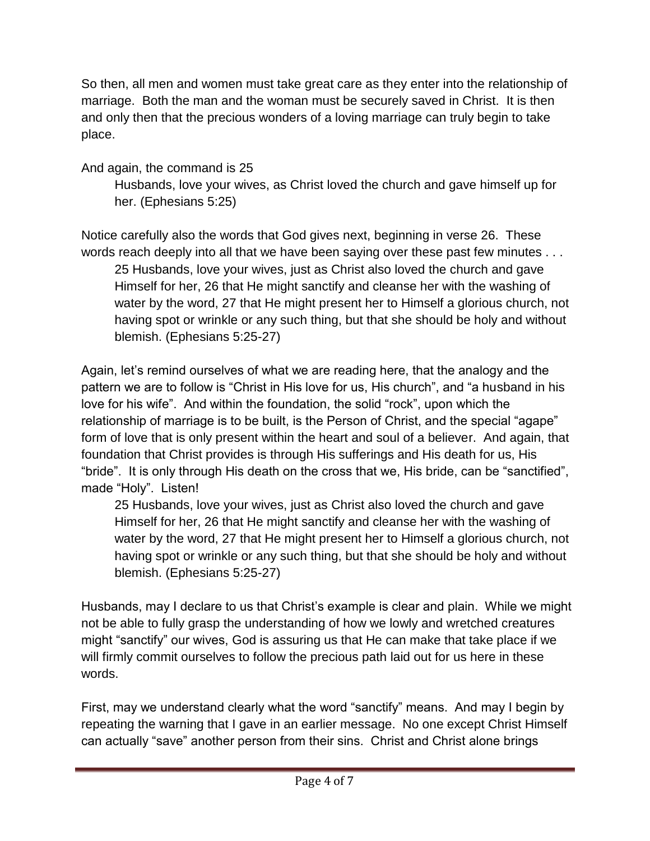So then, all men and women must take great care as they enter into the relationship of marriage. Both the man and the woman must be securely saved in Christ. It is then and only then that the precious wonders of a loving marriage can truly begin to take place.

And again, the command is 25

Husbands, love your wives, as Christ loved the church and gave himself up for her. (Ephesians 5:25)

Notice carefully also the words that God gives next, beginning in verse 26. These words reach deeply into all that we have been saying over these past few minutes . . .

25 Husbands, love your wives, just as Christ also loved the church and gave Himself for her, 26 that He might sanctify and cleanse her with the washing of water by the word, 27 that He might present her to Himself a glorious church, not having spot or wrinkle or any such thing, but that she should be holy and without blemish. (Ephesians 5:25-27)

Again, let's remind ourselves of what we are reading here, that the analogy and the pattern we are to follow is "Christ in His love for us, His church", and "a husband in his love for his wife". And within the foundation, the solid "rock", upon which the relationship of marriage is to be built, is the Person of Christ, and the special "agape" form of love that is only present within the heart and soul of a believer. And again, that foundation that Christ provides is through His sufferings and His death for us, His "bride". It is only through His death on the cross that we, His bride, can be "sanctified", made "Holy". Listen!

25 Husbands, love your wives, just as Christ also loved the church and gave Himself for her, 26 that He might sanctify and cleanse her with the washing of water by the word, 27 that He might present her to Himself a glorious church, not having spot or wrinkle or any such thing, but that she should be holy and without blemish. (Ephesians 5:25-27)

Husbands, may I declare to us that Christ's example is clear and plain. While we might not be able to fully grasp the understanding of how we lowly and wretched creatures might "sanctify" our wives, God is assuring us that He can make that take place if we will firmly commit ourselves to follow the precious path laid out for us here in these words.

First, may we understand clearly what the word "sanctify" means. And may I begin by repeating the warning that I gave in an earlier message. No one except Christ Himself can actually "save" another person from their sins. Christ and Christ alone brings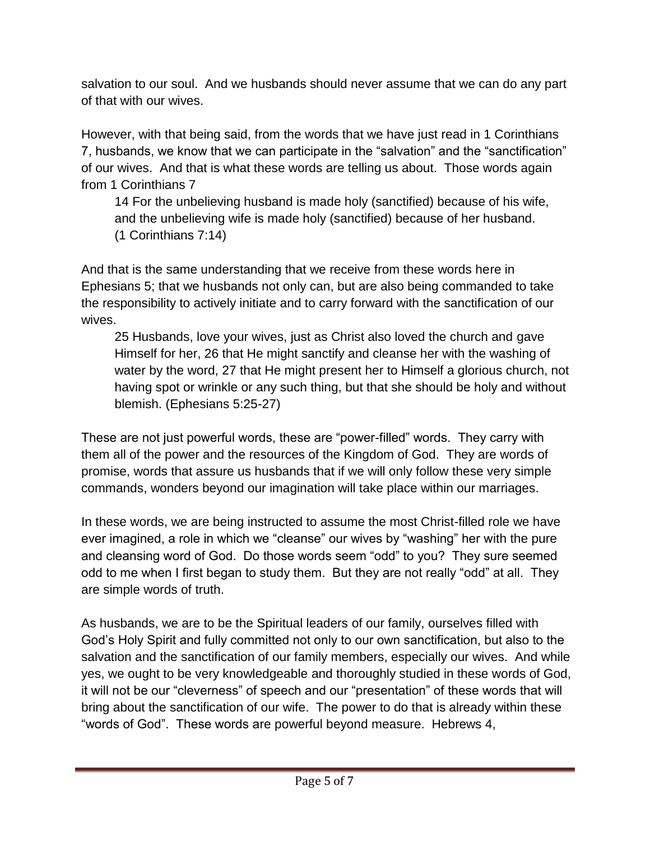salvation to our soul. And we husbands should never assume that we can do any part of that with our wives.

However, with that being said, from the words that we have just read in 1 Corinthians 7, husbands, we know that we can participate in the "salvation" and the "sanctification" of our wives. And that is what these words are telling us about. Those words again from 1 Corinthians 7

14 For the unbelieving husband is made holy (sanctified) because of his wife, and the unbelieving wife is made holy (sanctified) because of her husband. (1 Corinthians 7:14)

And that is the same understanding that we receive from these words here in Ephesians 5; that we husbands not only can, but are also being commanded to take the responsibility to actively initiate and to carry forward with the sanctification of our wives.

25 Husbands, love your wives, just as Christ also loved the church and gave Himself for her, 26 that He might sanctify and cleanse her with the washing of water by the word, 27 that He might present her to Himself a glorious church, not having spot or wrinkle or any such thing, but that she should be holy and without blemish. (Ephesians 5:25-27)

These are not just powerful words, these are "power-filled" words. They carry with them all of the power and the resources of the Kingdom of God. They are words of promise, words that assure us husbands that if we will only follow these very simple commands, wonders beyond our imagination will take place within our marriages.

In these words, we are being instructed to assume the most Christ-filled role we have ever imagined, a role in which we "cleanse" our wives by "washing" her with the pure and cleansing word of God. Do those words seem "odd" to you? They sure seemed odd to me when I first began to study them. But they are not really "odd" at all. They are simple words of truth.

As husbands, we are to be the Spiritual leaders of our family, ourselves filled with God's Holy Spirit and fully committed not only to our own sanctification, but also to the salvation and the sanctification of our family members, especially our wives. And while yes, we ought to be very knowledgeable and thoroughly studied in these words of God, it will not be our "cleverness" of speech and our "presentation" of these words that will bring about the sanctification of our wife. The power to do that is already within these "words of God". These words are powerful beyond measure. Hebrews 4,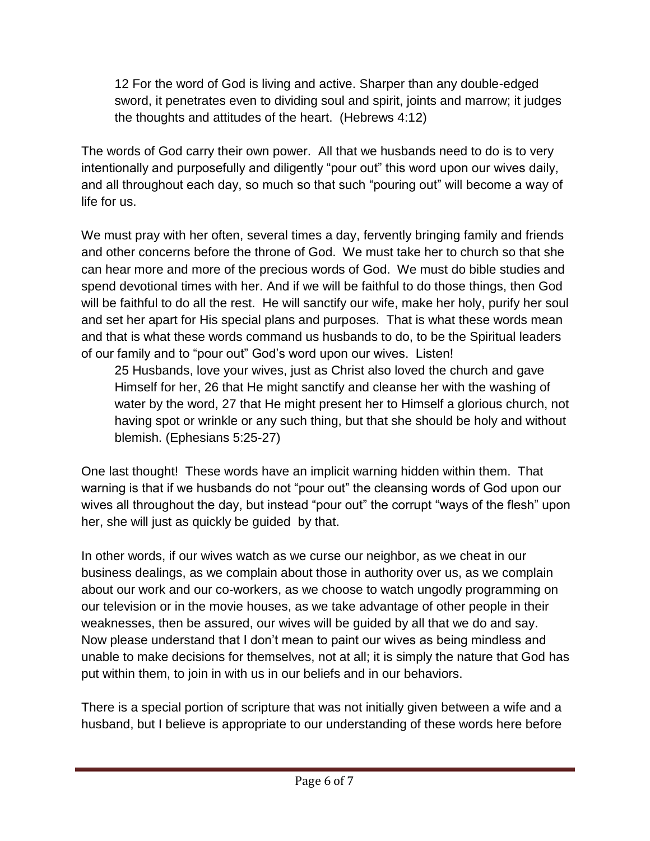12 For the word of God is living and active. Sharper than any double-edged sword, it penetrates even to dividing soul and spirit, joints and marrow; it judges the thoughts and attitudes of the heart. (Hebrews 4:12)

The words of God carry their own power. All that we husbands need to do is to very intentionally and purposefully and diligently "pour out" this word upon our wives daily, and all throughout each day, so much so that such "pouring out" will become a way of life for us.

We must pray with her often, several times a day, fervently bringing family and friends and other concerns before the throne of God. We must take her to church so that she can hear more and more of the precious words of God. We must do bible studies and spend devotional times with her. And if we will be faithful to do those things, then God will be faithful to do all the rest. He will sanctify our wife, make her holy, purify her soul and set her apart for His special plans and purposes. That is what these words mean and that is what these words command us husbands to do, to be the Spiritual leaders of our family and to "pour out" God's word upon our wives. Listen!

25 Husbands, love your wives, just as Christ also loved the church and gave Himself for her, 26 that He might sanctify and cleanse her with the washing of water by the word, 27 that He might present her to Himself a glorious church, not having spot or wrinkle or any such thing, but that she should be holy and without blemish. (Ephesians 5:25-27)

One last thought! These words have an implicit warning hidden within them. That warning is that if we husbands do not "pour out" the cleansing words of God upon our wives all throughout the day, but instead "pour out" the corrupt "ways of the flesh" upon her, she will just as quickly be guided by that.

In other words, if our wives watch as we curse our neighbor, as we cheat in our business dealings, as we complain about those in authority over us, as we complain about our work and our co-workers, as we choose to watch ungodly programming on our television or in the movie houses, as we take advantage of other people in their weaknesses, then be assured, our wives will be guided by all that we do and say. Now please understand that I don't mean to paint our wives as being mindless and unable to make decisions for themselves, not at all; it is simply the nature that God has put within them, to join in with us in our beliefs and in our behaviors.

There is a special portion of scripture that was not initially given between a wife and a husband, but I believe is appropriate to our understanding of these words here before